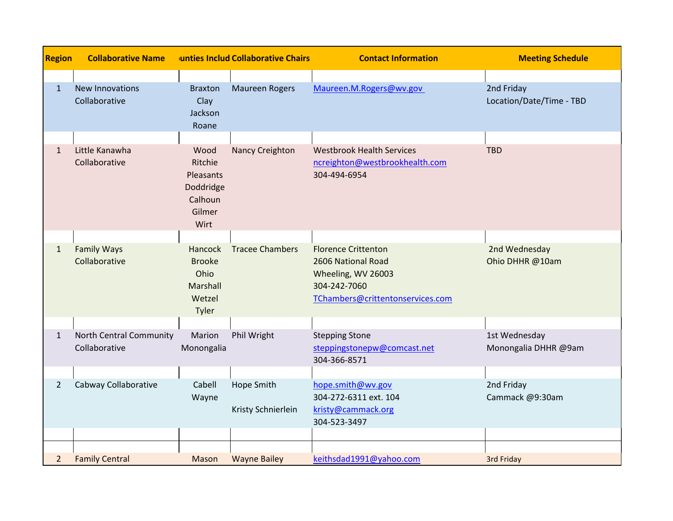| <b>Region</b>  | <b>Collaborative Name</b>                       |                                                                        | unties Includ Collaborative Chairs | <b>Contact Information</b>                                                                                                 | <b>Meeting Schedule</b>                |
|----------------|-------------------------------------------------|------------------------------------------------------------------------|------------------------------------|----------------------------------------------------------------------------------------------------------------------------|----------------------------------------|
| $\mathbf{1}$   | <b>New Innovations</b><br>Collaborative         | <b>Braxton</b><br>Clay<br>Jackson<br>Roane                             | <b>Maureen Rogers</b>              | Maureen.M.Rogers@wv.gov                                                                                                    | 2nd Friday<br>Location/Date/Time - TBD |
| $\mathbf{1}$   | Little Kanawha<br>Collaborative                 | Wood<br>Ritchie<br>Pleasants<br>Doddridge<br>Calhoun<br>Gilmer<br>Wirt | Nancy Creighton                    | <b>Westbrook Health Services</b><br>ncreighton@westbrookhealth.com<br>304-494-6954                                         | <b>TBD</b>                             |
| $\mathbf{1}$   | <b>Family Ways</b><br>Collaborative             | Hancock<br><b>Brooke</b><br>Ohio<br>Marshall<br>Wetzel<br>Tyler        | <b>Tracee Chambers</b>             | <b>Florence Crittenton</b><br>2606 National Road<br>Wheeling, WV 26003<br>304-242-7060<br>TChambers@crittentonservices.com | 2nd Wednesday<br>Ohio DHHR @10am       |
| $\mathbf{1}$   | <b>North Central Community</b><br>Collaborative | Marion<br>Monongalia                                                   | Phil Wright                        | <b>Stepping Stone</b><br>steppingstonepw@comcast.net<br>304-366-8571                                                       | 1st Wednesday<br>Monongalia DHHR @9am  |
| $\overline{2}$ | Cabway Collaborative                            | Cabell<br>Wayne                                                        | Hope Smith<br>Kristy Schnierlein   | hope.smith@wv.gov<br>304-272-6311 ext. 104<br>kristy@cammack.org<br>304-523-3497                                           | 2nd Friday<br>Cammack @9:30am          |
| $\overline{2}$ | <b>Family Central</b>                           | Mason                                                                  | <b>Wayne Bailey</b>                | keithsdad1991@yahoo.com                                                                                                    | 3rd Friday                             |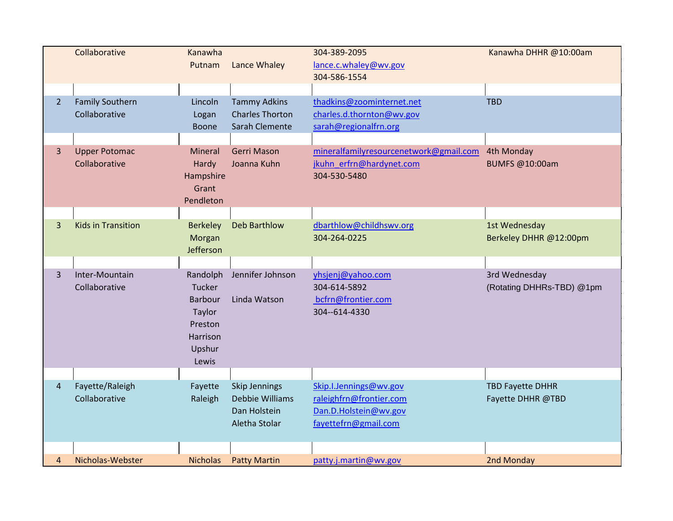|                | Collaborative                           | Kanawha<br>Putnam                                                                        | Lance Whaley                                                             | 304-389-2095<br>lance.c.whaley@wv.gov                                                              | Kanawha DHHR @10:00am                        |
|----------------|-----------------------------------------|------------------------------------------------------------------------------------------|--------------------------------------------------------------------------|----------------------------------------------------------------------------------------------------|----------------------------------------------|
|                |                                         |                                                                                          |                                                                          | 304-586-1554                                                                                       |                                              |
| $\overline{2}$ | <b>Family Southern</b><br>Collaborative | Lincoln<br>Logan<br>Boone                                                                | <b>Tammy Adkins</b><br><b>Charles Thorton</b><br>Sarah Clemente          | thadkins@zoominternet.net<br>charles.d.thornton@wv.gov<br>sarah@regionalfrn.org                    | <b>TBD</b>                                   |
| 3              | <b>Upper Potomac</b><br>Collaborative   | Mineral<br>Hardy<br>Hampshire<br>Grant<br>Pendleton                                      | <b>Gerri Mason</b><br>Joanna Kuhn                                        | mineralfamilyresourcenetwork@gmail.com<br>jkuhn erfrn@hardynet.com<br>304-530-5480                 | 4th Monday<br>BUMFS @10:00am                 |
| 3              | <b>Kids in Transition</b>               | <b>Berkeley</b><br>Morgan<br>Jefferson                                                   | Deb Barthlow                                                             | dbarthlow@childhswv.org<br>304-264-0225                                                            | 1st Wednesday<br>Berkeley DHHR @12:00pm      |
| 3              | Inter-Mountain<br>Collaborative         | Randolph<br>Tucker<br><b>Barbour</b><br>Taylor<br>Preston<br>Harrison<br>Upshur<br>Lewis | Jennifer Johnson<br>Linda Watson                                         | yhsjenj@yahoo.com<br>304-614-5892<br>bcfrn@frontier.com<br>304--614-4330                           | 3rd Wednesday<br>(Rotating DHHRs-TBD) @1pm   |
| 4              | Fayette/Raleigh<br>Collaborative        | Fayette<br>Raleigh                                                                       | <b>Skip Jennings</b><br>Debbie Williams<br>Dan Holstein<br>Aletha Stolar | Skip.I.Jennings@wv.gov<br>raleighfrn@frontier.com<br>Dan.D.Holstein@wv.gov<br>fayettefrn@gmail.com | <b>TBD Fayette DHHR</b><br>Fayette DHHR @TBD |
| $\overline{4}$ | Nicholas-Webster                        | <b>Nicholas</b>                                                                          | <b>Patty Martin</b>                                                      | patty.j.martin@wv.gov                                                                              | 2nd Monday                                   |